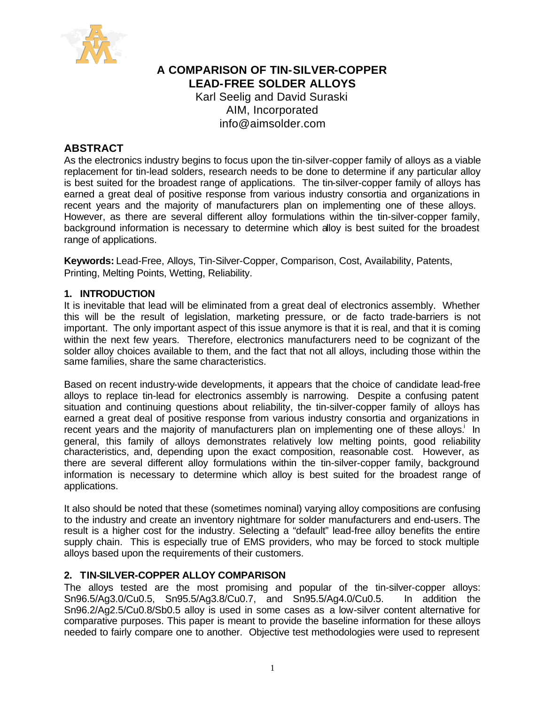

# **A COMPARISON OF TIN-SILVER-COPPER LEAD-FREE SOLDER ALLOYS** Karl Seelig and David Suraski AIM, Incorporated info@aimsolder.com

# **ABSTRACT**

As the electronics industry begins to focus upon the tin-silver-copper family of alloys as a viable replacement for tin-lead solders, research needs to be done to determine if any particular alloy is best suited for the broadest range of applications. The tin-silver-copper family of alloys has earned a great deal of positive response from various industry consortia and organizations in recent years and the majority of manufacturers plan on implementing one of these alloys. However, as there are several different alloy formulations within the tin-silver-copper family, background information is necessary to determine which alloy is best suited for the broadest range of applications.

**Keywords:** Lead-Free, Alloys, Tin-Silver-Copper, Comparison, Cost, Availability, Patents, Printing, Melting Points, Wetting, Reliability.

## **1. INTRODUCTION**

It is inevitable that lead will be eliminated from a great deal of electronics assembly. Whether this will be the result of legislation, marketing pressure, or de facto trade-barriers is not important. The only important aspect of this issue anymore is that it is real, and that it is coming within the next few years. Therefore, electronics manufacturers need to be cognizant of the solder alloy choices available to them, and the fact that not all alloys, including those within the same families, share the same characteristics.

Based on recent industry-wide developments, it appears that the choice of candidate lead-free alloys to replace tin-lead for electronics assembly is narrowing. Despite a confusing patent situation and continuing questions about reliability, the tin-silver-copper family of alloys has earned a great deal of positive response from various industry consortia and organizations in recent years and the majority of manufacturers plan on implementing one of these alloys.<sup>i</sup> In general, this family of alloys demonstrates relatively low melting points, good reliability characteristics, and, depending upon the exact composition, reasonable cost. However, as there are several different alloy formulations within the tin-silver-copper family, background information is necessary to determine which alloy is best suited for the broadest range of applications.

It also should be noted that these (sometimes nominal) varying alloy compositions are confusing to the industry and create an inventory nightmare for solder manufacturers and end-users. The result is a higher cost for the industry. Selecting a "default" lead-free alloy benefits the entire supply chain. This is especially true of EMS providers, who may be forced to stock multiple alloys based upon the requirements of their customers.

## **2. TIN-SILVER-COPPER ALLOY COMPARISON**

The alloys tested are the most promising and popular of the tin-silver-copper alloys: Sn96.5/Ag3.0/Cu0.5, Sn95.5/Ag3.8/Cu0.7, and Sn95.5/Ag4.0/Cu0.5. In addition the Sn96.2/Ag2.5/Cu0.8/Sb0.5 alloy is used in some cases as a low-silver content alternative for comparative purposes. This paper is meant to provide the baseline information for these alloys needed to fairly compare one to another. Objective test methodologies were used to represent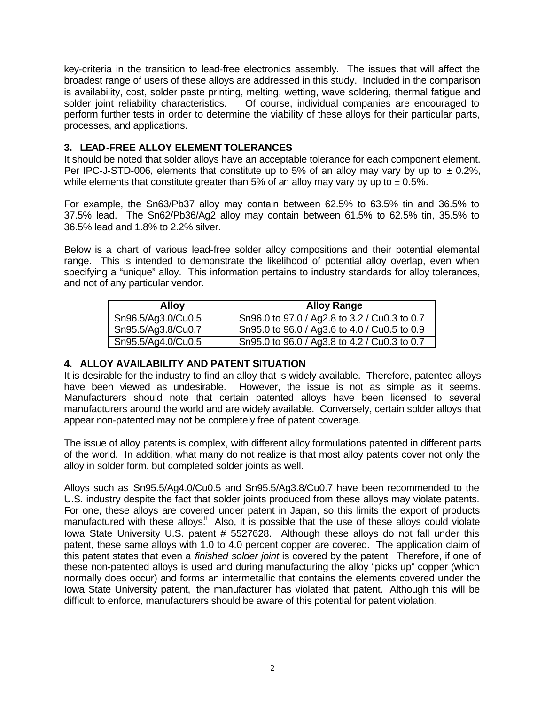key-criteria in the transition to lead-free electronics assembly. The issues that will affect the broadest range of users of these alloys are addressed in this study. Included in the comparison is availability, cost, solder paste printing, melting, wetting, wave soldering, thermal fatigue and solder joint reliability characteristics. Of course, individual companies are encouraged to perform further tests in order to determine the viability of these alloys for their particular parts, processes, and applications.

# **3. LEAD-FREE ALLOY ELEMENT TOLERANCES**

It should be noted that solder alloys have an acceptable tolerance for each component element. Per IPC-J-STD-006, elements that constitute up to 5% of an alloy may vary by up to  $\pm$  0.2%, while elements that constitute greater than 5% of an alloy may vary by up to  $\pm$  0.5%.

For example, the Sn63/Pb37 alloy may contain between 62.5% to 63.5% tin and 36.5% to 37.5% lead. The Sn62/Pb36/Ag2 alloy may contain between 61.5% to 62.5% tin, 35.5% to 36.5% lead and 1.8% to 2.2% silver.

Below is a chart of various lead-free solder alloy compositions and their potential elemental range. This is intended to demonstrate the likelihood of potential alloy overlap, even when specifying a "unique" alloy. This information pertains to industry standards for alloy tolerances, and not of any particular vendor.

| <b>Alloy</b>       | <b>Alloy Range</b>                           |
|--------------------|----------------------------------------------|
| Sn96.5/Ag3.0/Cu0.5 | Sn96.0 to 97.0 / Ag2.8 to 3.2 / Cu0.3 to 0.7 |
| Sn95.5/Ag3.8/Cu0.7 | Sn95.0 to 96.0 / Ag3.6 to 4.0 / Cu0.5 to 0.9 |
| Sn95.5/Ag4.0/Cu0.5 | Sn95.0 to 96.0 / Ag3.8 to 4.2 / Cu0.3 to 0.7 |

# **4. ALLOY AVAILABILITY AND PATENT SITUATION**

It is desirable for the industry to find an alloy that is widely available. Therefore, patented alloys have been viewed as undesirable. However, the issue is not as simple as it seems. Manufacturers should note that certain patented alloys have been licensed to several manufacturers around the world and are widely available. Conversely, certain solder alloys that appear non-patented may not be completely free of patent coverage.

The issue of alloy patents is complex, with different alloy formulations patented in different parts of the world. In addition, what many do not realize is that most alloy patents cover not only the alloy in solder form, but completed solder joints as well.

Alloys such as Sn95.5/Ag4.0/Cu0.5 and Sn95.5/Ag3.8/Cu0.7 have been recommended to the U.S. industry despite the fact that solder joints produced from these alloys may violate patents. For one, these alloys are covered under patent in Japan, so this limits the export of products manufactured with these alloys.<sup>ii</sup> Also, it is possible that the use of these alloys could violate Iowa State University U.S. patent # 5527628. Although these alloys do not fall under this patent, these same alloys with 1.0 to 4.0 percent copper are covered. The application claim of this patent states that even a *finished solder joint* is covered by the patent. Therefore, if one of these non-patented alloys is used and during manufacturing the alloy "picks up" copper (which normally does occur) and forms an intermetallic that contains the elements covered under the Iowa State University patent, the manufacturer has violated that patent. Although this will be difficult to enforce, manufacturers should be aware of this potential for patent violation.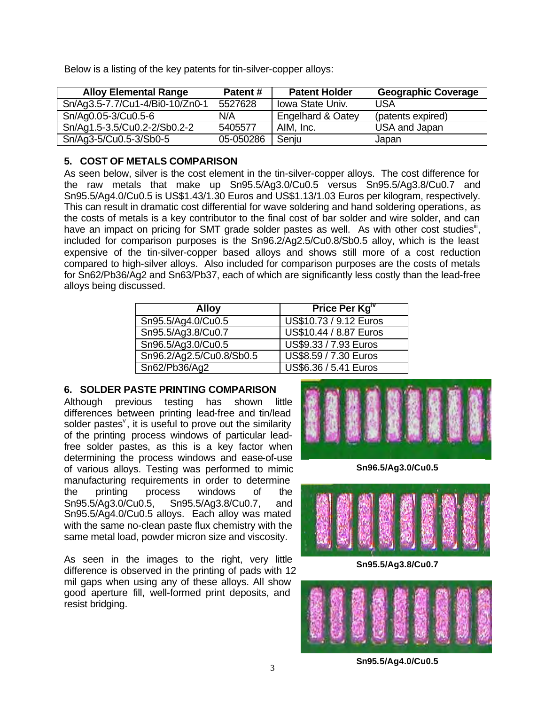Below is a listing of the key patents for tin-silver-copper alloys:

| <b>Alloy Elemental Range</b>    | Patent#   | <b>Patent Holder</b>    | <b>Geographic Coverage</b> |
|---------------------------------|-----------|-------------------------|----------------------------|
| Sn/Ag3.5-7.7/Cu1-4/Bi0-10/Zn0-1 | 5527628   | <b>Iowa State Univ.</b> | USA                        |
| Sn/Ag0.05-3/Cu0.5-6             | N/A       | Engelhard & Oatey       | (patents expired)          |
| Sn/Ag1.5-3.5/Cu0.2-2/Sb0.2-2    | 5405577   | AIM, Inc.               | USA and Japan              |
| Sn/Ag3-5/Cu0.5-3/Sb0-5          | 05-050286 | Senju                   | Japan                      |

## **5. COST OF METALS COMPARISON**

As seen below, silver is the cost element in the tin-silver-copper alloys. The cost difference for the raw metals that make up Sn95.5/Ag3.0/Cu0.5 versus Sn95.5/Ag3.8/Cu0.7 and Sn95.5/Ag4.0/Cu0.5 is US\$1.43/1.30 Euros and US\$1.13/1.03 Euros per kilogram, respectively. This can result in dramatic cost differential for wave soldering and hand soldering operations, as the costs of metals is a key contributor to the final cost of bar solder and wire solder, and can have an impact on pricing for SMT grade solder pastes as well. As with other cost studies<sup>iii</sup>, included for comparison purposes is the Sn96.2/Ag2.5/Cu0.8/Sb0.5 alloy, which is the least expensive of the tin-silver-copper based alloys and shows still more of a cost reduction compared to high-silver alloys. Also included for comparison purposes are the costs of metals for Sn62/Pb36/Ag2 and Sn63/Pb37, each of which are significantly less costly than the lead-free alloys being discussed.

| <b>Alloy</b>             | Price Per Kg"          |
|--------------------------|------------------------|
| Sn95.5/Ag4.0/Cu0.5       | US\$10.73 / 9.12 Euros |
| Sn95.5/Ag3.8/Cu0.7       | US\$10.44 / 8.87 Euros |
| Sn96.5/Ag3.0/Cu0.5       | US\$9.33 / 7.93 Euros  |
| Sn96.2/Ag2.5/Cu0.8/Sb0.5 | US\$8.59 / 7.30 Euros  |
| Sn62/Pb36/Ag2            | US\$6.36 / 5.41 Euros  |

# **6. SOLDER PASTE PRINTING COMPARISON**

Although previous testing has shown little differences between printing lead-free and tin/lead solder pastes $<sup>9</sup>$ , it is useful to prove out the similarity</sup> of the printing process windows of particular leadfree solder pastes, as this is a key factor when determining the process windows and ease-of-use of various alloys. Testing was performed to mimic manufacturing requirements in order to determine the printing process windows of the Sn95.5/Ag3.0/Cu0.5, Sn95.5/Ag3.8/Cu0.7, and Sn95.5/Ag4.0/Cu0.5 alloys. Each alloy was mated with the same no-clean paste flux chemistry with the same metal load, powder micron size and viscosity.

As seen in the images to the right, very little difference is observed in the printing of pads with 12 mil gaps when using any of these alloys. All show good aperture fill, well-formed print deposits, and resist bridging.



**Sn96.5/Ag3.0/Cu0.5**



**Sn95.5/Ag3.8/Cu0.7**



**Sn95.5/Ag4.0/Cu0.5**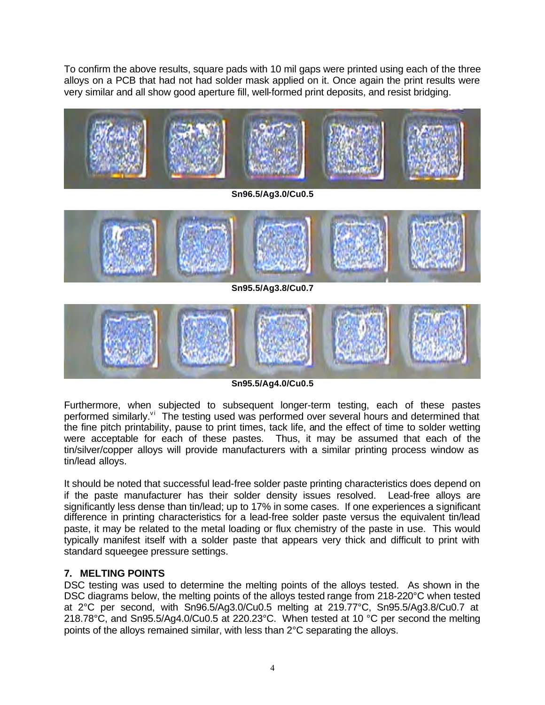To confirm the above results, square pads with 10 mil gaps were printed using each of the three alloys on a PCB that had not had solder mask applied on it. Once again the print results were very similar and all show good aperture fill, well-formed print deposits, and resist bridging.



**Sn95.5/Ag4.0/Cu0.5**

Furthermore, when subjected to subsequent longer-term testing, each of these pastes performed similarly.<sup>vi</sup> The testing used was performed over several hours and determined that the fine pitch printability, pause to print times, tack life, and the effect of time to solder wetting were acceptable for each of these pastes. Thus, it may be assumed that each of the tin/silver/copper alloys will provide manufacturers with a similar printing process window as tin/lead alloys.

It should be noted that successful lead-free solder paste printing characteristics does depend on if the paste manufacturer has their solder density issues resolved. Lead-free alloys are significantly less dense than tin/lead; up to 17% in some cases. If one experiences a significant difference in printing characteristics for a lead-free solder paste versus the equivalent tin/lead paste, it may be related to the metal loading or flux chemistry of the paste in use. This would typically manifest itself with a solder paste that appears very thick and difficult to print with standard squeegee pressure settings.

# **7. MELTING POINTS**

DSC testing was used to determine the melting points of the alloys tested. As shown in the DSC diagrams below, the melting points of the alloys tested range from 218-220°C when tested at 2°C per second, with Sn96.5/Ag3.0/Cu0.5 melting at 219.77°C, Sn95.5/Ag3.8/Cu0.7 at 218.78°C, and Sn95.5/Ag4.0/Cu0.5 at 220.23°C. When tested at 10 °C per second the melting points of the alloys remained similar, with less than 2°C separating the alloys.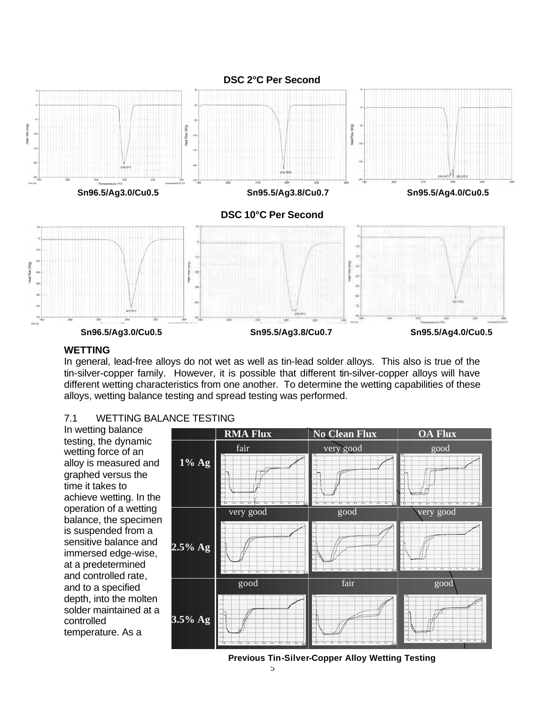

#### **WETTING**

In general, lead-free alloys do not wet as well as tin-lead solder alloys. This also is true of the tin-silver-copper family. However, it is possible that different tin-silver-copper alloys will have different wetting characteristics from one another. To determine the wetting capabilities of these alloys, wetting balance testing and spread testing was performed.

## 7.1 WETTING BALANCE TESTING

In wetting balance testing, the dynamic wetting force of an alloy is measured and graphed versus the time it takes to achieve wetting. In the operation of a wetting balance, the specimen is suspended from a sensitive balance and immersed edge-wise, at a predetermined and controlled rate, and to a specified depth, into the molten solder maintained at a controlled temperature. As a



#### **Previous Tin-Silver-Copper Alloy Wetting Testing**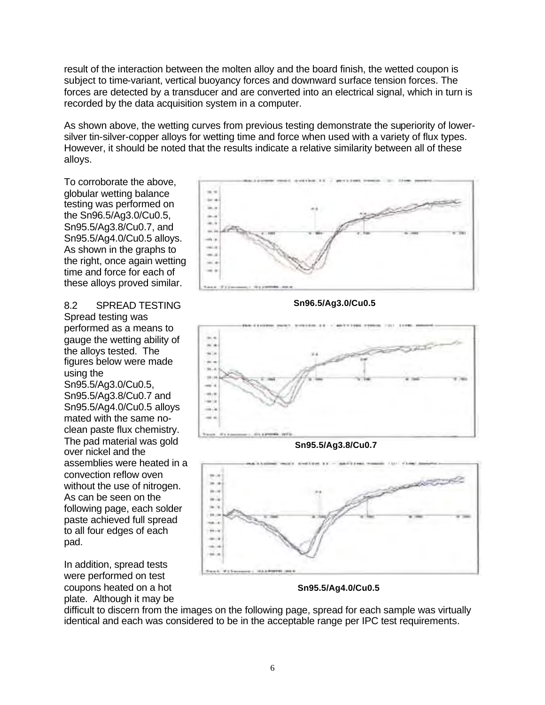result of the interaction between the molten alloy and the board finish, the wetted coupon is subject to time-variant, vertical buoyancy forces and downward surface tension forces. The forces are detected by a transducer and are converted into an electrical signal, which in turn is recorded by the data acquisition system in a computer.

As shown above, the wetting curves from previous testing demonstrate the superiority of lowersilver tin-silver-copper alloys for wetting time and force when used with a variety of flux types. However, it should be noted that the results indicate a relative similarity between all of these alloys.

To corroborate the above, globular wetting balance testing was performed on the Sn96.5/Ag3.0/Cu0.5, Sn95.5/Ag3.8/Cu0.7, and Sn95.5/Ag4.0/Cu0.5 alloys. As shown in the graphs to the right, once again wetting time and force for each of these alloys proved similar.

8.2 SPREAD TESTING Spread testing was performed as a means to gauge the wetting ability of the alloys tested. The figures below were made using the Sn95.5/Ag3.0/Cu0.5, Sn95.5/Ag3.8/Cu0.7 and Sn95.5/Ag4.0/Cu0.5 alloys mated with the same noclean paste flux chemistry. The pad material was gold over nickel and the assemblies were heated in a convection reflow oven without the use of nitrogen. As can be seen on the following page, each solder paste achieved full spread to all four edges of each pad.

In addition, spread tests were performed on test coupons heated on a hot plate. Although it may be



**Sn96.5/Ag3.0/Cu0.5**



**Sn95.5/Ag3.8/Cu0.7**



**Sn95.5/Ag4.0/Cu0.5**

difficult to discern from the images on the following page, spread for each sample was virtually identical and each was considered to be in the acceptable range per IPC test requirements.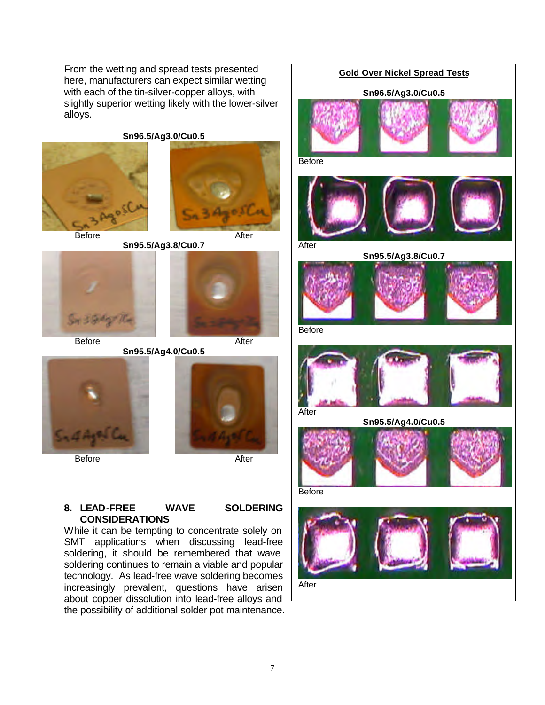From the wetting and spread tests presented here, manufacturers can expect similar wetting with each of the tin-silver-copper alloys, with slightly superior wetting likely with the lower-silver alloys.

**Sn96.5/Ag3.0/Cu0.5**





Before After





**Sn95.5/Ag4.0/Cu0.5**



Before After



## **8. LEAD-FREE WAVE SOLDERING CONSIDERATIONS**

While it can be tempting to concentrate solely on SMT applications when discussing lead-free soldering, it should be remembered that wave soldering continues to remain a viable and popular technology. As lead-free wave soldering becomes increasingly prevalent, questions have arisen about copper dissolution into lead-free alloys and the possibility of additional solder pot maintenance.

# **Gold Over Nickel Spread Tests Sn96.5/Ag3.0/Cu0.5 Before**



After





Before



**Sn95.5/Ag4.0/Cu0.5**



Before



7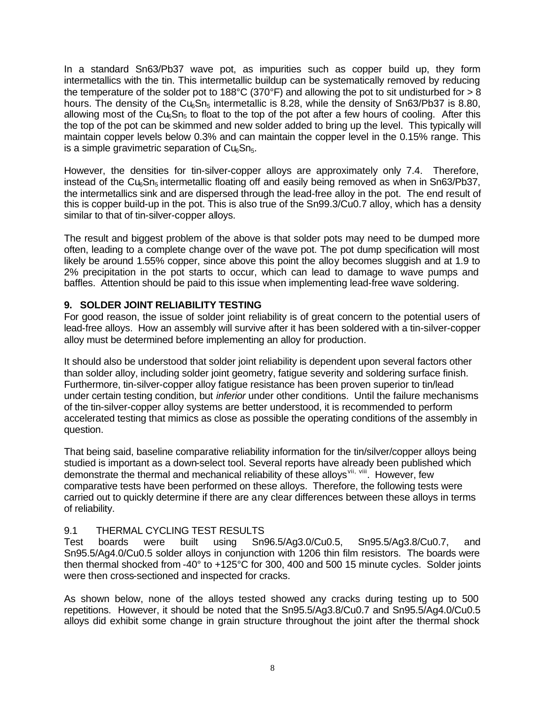In a standard Sn63/Pb37 wave pot, as impurities such as copper build up, they form intermetallics with the tin. This intermetallic buildup can be systematically removed by reducing the temperature of the solder pot to 188°C (370°F) and allowing the pot to sit undisturbed for  $> 8$ hours. The density of the  $Cu<sub>6</sub>Sn<sub>5</sub>$  intermetallic is 8.28, while the density of Sn63/Pb37 is 8.80, allowing most of the Cu<sub>6</sub>Sn<sub>5</sub> to float to the top of the pot after a few hours of cooling. After this the top of the pot can be skimmed and new solder added to bring up the level. This typically will maintain copper levels below 0.3% and can maintain the copper level in the 0.15% range. This is a simple gravimetric separation of  $Cu<sub>6</sub>Sn<sub>5</sub>$ .

However, the densities for tin-silver-copper alloys are approximately only 7.4. Therefore, instead of the Cu<sub>6</sub>Sn<sub>5</sub> intermetallic floating off and easily being removed as when in Sn63/Pb37, the intermetallics sink and are dispersed through the lead-free alloy in the pot. The end result of this is copper build-up in the pot. This is also true of the Sn99.3/Cu0.7 alloy, which has a density similar to that of tin-silver-copper alloys.

The result and biggest problem of the above is that solder pots may need to be dumped more often, leading to a complete change over of the wave pot. The pot dump specification will most likely be around 1.55% copper, since above this point the alloy becomes sluggish and at 1.9 to 2% precipitation in the pot starts to occur, which can lead to damage to wave pumps and baffles. Attention should be paid to this issue when implementing lead-free wave soldering.

# **9. SOLDER JOINT RELIABILITY TESTING**

For good reason, the issue of solder joint reliability is of great concern to the potential users of lead-free alloys. How an assembly will survive after it has been soldered with a tin-silver-copper alloy must be determined before implementing an alloy for production.

It should also be understood that solder joint reliability is dependent upon several factors other than solder alloy, including solder joint geometry, fatigue severity and soldering surface finish. Furthermore, tin-silver-copper alloy fatigue resistance has been proven superior to tin/lead under certain testing condition, but *inferior* under other conditions. Until the failure mechanisms of the tin-silver-copper alloy systems are better understood, it is recommended to perform accelerated testing that mimics as close as possible the operating conditions of the assembly in question.

That being said, baseline comparative reliability information for the tin/silver/copper alloys being studied is important as a down-select tool. Several reports have already been published which demonstrate the thermal and mechanical reliability of these alloys<sup>vii, viii</sup>. However, few comparative tests have been performed on these alloys. Therefore, the following tests were carried out to quickly determine if there are any clear differences between these alloys in terms of reliability.

# 9.1 THERMAL CYCLING TEST RESULTS

Test boards were built using Sn96.5/Ag3.0/Cu0.5, Sn95.5/Ag3.8/Cu0.7, and Sn95.5/Ag4.0/Cu0.5 solder alloys in conjunction with 1206 thin film resistors. The boards were then thermal shocked from -40° to +125°C for 300, 400 and 500 15 minute cycles. Solder joints were then cross-sectioned and inspected for cracks.

As shown below, none of the alloys tested showed any cracks during testing up to 500 repetitions. However, it should be noted that the Sn95.5/Ag3.8/Cu0.7 and Sn95.5/Ag4.0/Cu0.5 alloys did exhibit some change in grain structure throughout the joint after the thermal shock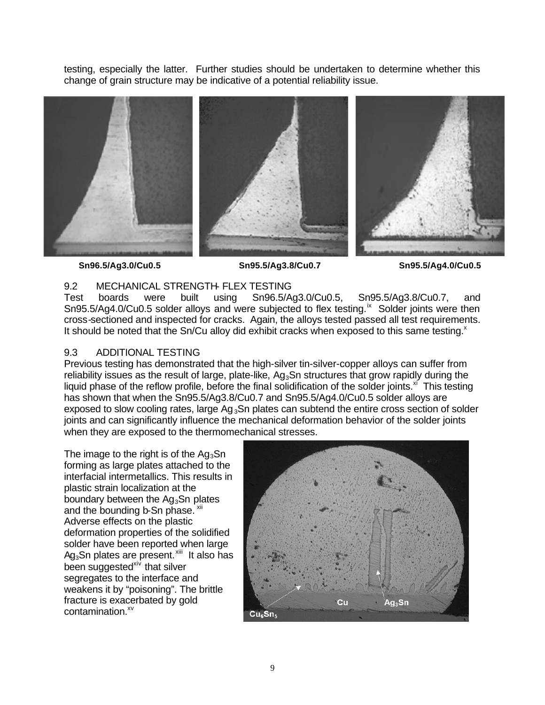testing, especially the latter. Further studies should be undertaken to determine whether this change of grain structure may be indicative of a potential reliability issue.



**Sn96.5/Ag3.0/Cu0.5 Sn95.5/Ag3.8/Cu0.7 Sn95.5/Ag4.0/Cu0.5**

## 9.2 MECHANICAL STRENGTH- FLEX TESTING

Test boards were built using Sn96.5/Ag3.0/Cu0.5, Sn95.5/Ag3.8/Cu0.7, and Sn95.5/Ag4.0/Cu0.5 solder alloys and were subjected to flex testing.<sup>ix</sup> Solder joints were then cross-sectioned and inspected for cracks. Again, the alloys tested passed all test requirements. It should be noted that the  $Sn/Cu$  alloy did exhibit cracks when exposed to this same testing. $^x$ 

## 9.3 ADDITIONAL TESTING

Previous testing has demonstrated that the high-silver tin-silver-copper alloys can suffer from reliability issues as the result of large, plate-like,  $Ag_3Sn$  structures that grow rapidly during the liquid phase of the reflow profile, before the final solidification of the solder joints. $x_i$  This testing has shown that when the Sn95.5/Ag3.8/Cu0.7 and Sn95.5/Ag4.0/Cu0.5 solder alloys are exposed to slow cooling rates, large  $Ag_3Sn$  plates can subtend the entire cross section of solder joints and can significantly influence the mechanical deformation behavior of the solder joints when they are exposed to the thermomechanical stresses.

The image to the right is of the  $Ag_3Sn$ forming as large plates attached to the interfacial intermetallics. This results in plastic strain localization at the boundary between the  $Aq_3Sn$  plates and the bounding b-Sn phase. xii Adverse effects on the plastic deformation properties of the solidified solder have been reported when large Ag<sub>3</sub>Sn plates are present.<sup>xiii</sup> It also has been suggested<sup>xiv</sup> that silver segregates to the interface and weakens it by "poisoning". The brittle fracture is exacerbated by gold contamination.<sup>xv</sup>

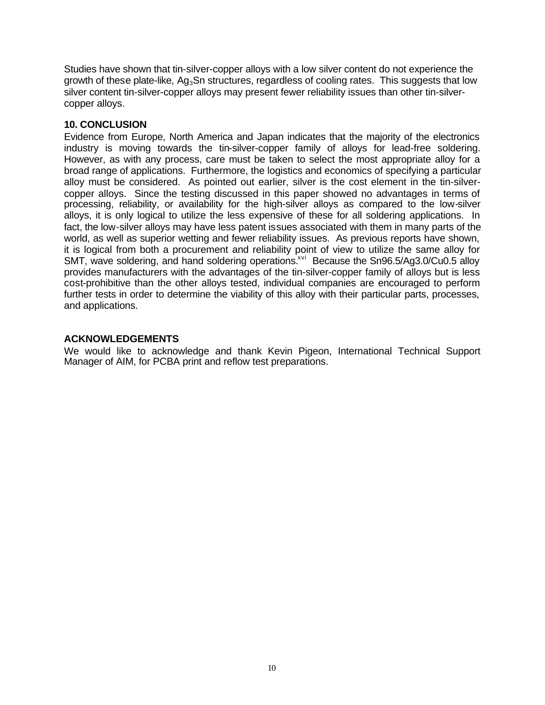Studies have shown that tin-silver-copper alloys with a low silver content do not experience the growth of these plate-like,  $Aq_3Sn$  structures, regardless of cooling rates. This suggests that low silver content tin-silver-copper alloys may present fewer reliability issues than other tin-silvercopper alloys.

## **10. CONCLUSION**

Evidence from Europe, North America and Japan indicates that the majority of the electronics industry is moving towards the tin-silver-copper family of alloys for lead-free soldering. However, as with any process, care must be taken to select the most appropriate alloy for a broad range of applications. Furthermore, the logistics and economics of specifying a particular alloy must be considered. As pointed out earlier, silver is the cost element in the tin-silvercopper alloys. Since the testing discussed in this paper showed no advantages in terms of processing, reliability, or availability for the high-silver alloys as compared to the low-silver alloys, it is only logical to utilize the less expensive of these for all soldering applications. In fact, the low-silver alloys may have less patent issues associated with them in many parts of the world, as well as superior wetting and fewer reliability issues. As previous reports have shown, it is logical from both a procurement and reliability point of view to utilize the same alloy for SMT, wave soldering, and hand soldering operations.<sup> $xvi$ </sup> Because the Sn96.5/Ag3.0/Cu0.5 alloy provides manufacturers with the advantages of the tin-silver-copper family of alloys but is less cost-prohibitive than the other alloys tested, individual companies are encouraged to perform further tests in order to determine the viability of this alloy with their particular parts, processes, and applications.

## **ACKNOWLEDGEMENTS**

We would like to acknowledge and thank Kevin Pigeon, International Technical Support Manager of AIM, for PCBA print and reflow test preparations.